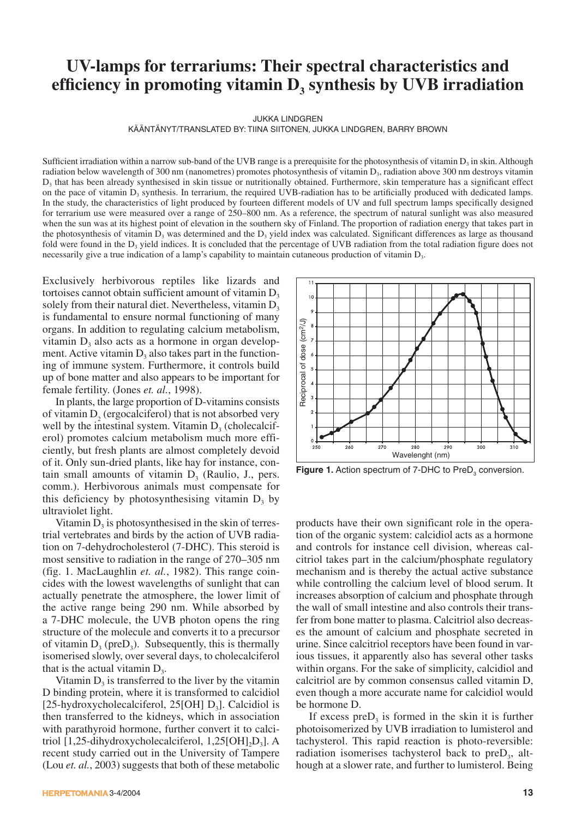# **UV-lamps for terrariums: Their spectral characteristics and**  efficiency in promoting vitamin D<sub>3</sub> synthesis by UVB irradiation

JUKKA LINDGREN

KÄÄNTÄNYT/TRANSLATED BY: TIINA SIITONEN, JUKKA LINDGREN, BARRY BROWN

Sufficient irradiation within a narrow sub-band of the UVB range is a prerequisite for the photosynthesis of vitamin  $D_3$  in skin. Although radiation below wavelength of 300 nm (nanometres) promotes photosynthesis of vitamin D<sub>3</sub>, radiation above 300 nm destroys vitamin  $D_3$  that has been already synthesised in skin tissue or nutritionally obtained. Furthermore, skin temperature has a significant effect on the pace of vitamin D<sub>3</sub> synthesis. In terrarium, the required UVB-radiation has to be artificially produced with dedicated lamps. In the study, the characteristics of light produced by fourteen different models of UV and full spectrum lamps specifically designed for terrarium use were measured over a range of 250–800 nm. As a reference, the spectrum of natural sunlight was also measured when the sun was at its highest point of elevation in the southern sky of Finland. The proportion of radiation energy that takes part in the photosynthesis of vitamin  $D_3$  was determined and the  $D_3$  yield index was calculated. Significant differences as large as thousand fold were found in the  $D_3$  yield indices. It is concluded that the percentage of UVB radiation from the total radiation figure does not necessarily give a true indication of a lamp's capability to maintain cutaneous production of vitamin  $D<sub>3</sub>$ .

Exclusively herbivorous reptiles like lizards and tortoises cannot obtain sufficient amount of vitamin  $D<sub>3</sub>$ solely from their natural diet. Nevertheless, vitamin  $D<sub>3</sub>$ is fundamental to ensure normal functioning of many organs. In addition to regulating calcium metabolism, vitamin  $D_3$  also acts as a hormone in organ development. Active vitamin  $D<sub>3</sub>$  also takes part in the functioning of immune system. Furthermore, it controls build up of bone matter and also appears to be important for female fertility. (Jones *et. al.*, 1998).

In plants, the large proportion of D-vitamins consists of vitamin  $D<sub>2</sub>$  (ergocalciferol) that is not absorbed very well by the intestinal system. Vitamin  $D<sub>3</sub>$  (cholecalciferol) promotes calcium metabolism much more efficiently, but fresh plants are almost completely devoid of it. Only sun-dried plants, like hay for instance, contain small amounts of vitamin  $D<sub>3</sub>$  (Raulio, J., pers. comm.). Herbivorous animals must compensate for this deficiency by photosynthesising vitamin  $D_3$  by ultraviolet light.

Vitamin  $D_3$  is photosynthesised in the skin of terrestrial vertebrates and birds by the action of UVB radiation on 7-dehydrocholesterol (7-DHC). This steroid is most sensitive to radiation in the range of 270–305 nm (fig. 1. MacLaughlin *et. al.*, 1982). This range coincides with the lowest wavelengths of sunlight that can actually penetrate the atmosphere, the lower limit of the active range being 290 nm. While absorbed by a 7-DHC molecule, the UVB photon opens the ring structure of the molecule and converts it to a precursor of vitamin  $D_3$  (pre $D_3$ ). Subsequently, this is thermally isomerised slowly, over several days, to cholecalciferol that is the actual vitamin  $D<sub>3</sub>$ .

Vitamin  $D_3$  is transferred to the liver by the vitamin D binding protein, where it is transformed to calcidiol [25-hydroxycholecalciferol, 25[OH]  $D_3$ ]. Calcidiol is then transferred to the kidneys, which in association with parathyroid hormone, further convert it to calcitriol  $[1,25$ -dihydroxycholecalciferol,  $1,25$ [OH]<sub>2</sub>D<sub>3</sub>]. A recent study carried out in the University of Tampere (Lou *et. al.*, 2003) suggests that both of these metabolic



**Figure 1.** Action spectrum of 7-DHC to PreD<sub>3</sub> conversion.

products have their own significant role in the operation of the organic system: calcidiol acts as a hormone and controls for instance cell division, whereas calcitriol takes part in the calcium/phosphate regulatory mechanism and is thereby the actual active substance while controlling the calcium level of blood serum. It increases absorption of calcium and phosphate through the wall of small intestine and also controls their transfer from bone matter to plasma. Calcitriol also decreases the amount of calcium and phosphate secreted in urine. Since calcitriol receptors have been found in various tissues, it apparently also has several other tasks within organs. For the sake of simplicity, calcidiol and calcitriol are by common consensus called vitamin D, even though a more accurate name for calcidiol would be hormone D.

If excess pre $D_3$  is formed in the skin it is further photoisomerized by UVB irradiation to lumisterol and tachysterol. This rapid reaction is photo-reversible: radiation isomerises tachysterol back to  $preD<sub>3</sub>$ , although at a slower rate, and further to lumisterol. Being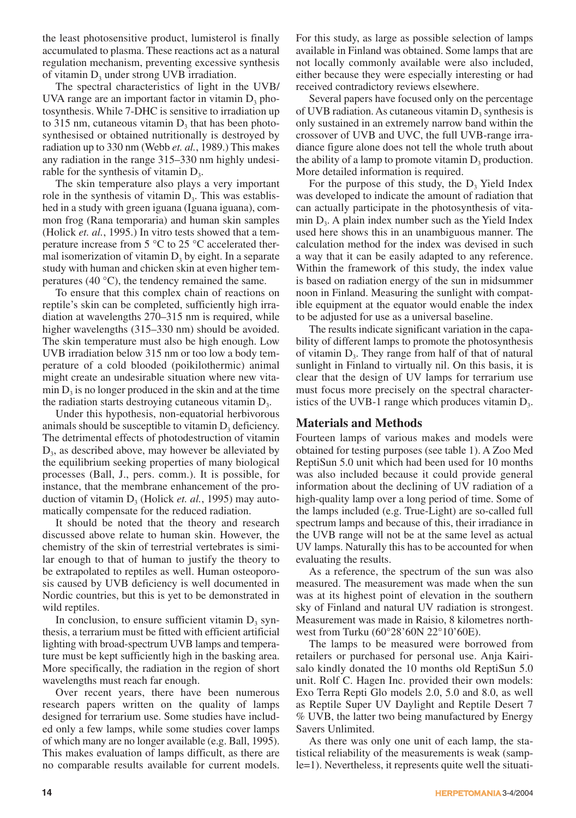the least photosensitive product, lumisterol is finally accumulated to plasma. These reactions act as a natural regulation mechanism, preventing excessive synthesis of vitamin  $D_3$  under strong UVB irradiation.

The spectral characteristics of light in the UVB/ UVA range are an important factor in vitamin  $D_3$  photosynthesis. While 7-DHC is sensitive to irradiation up to 315 nm, cutaneous vitamin  $D_3$  that has been photosynthesised or obtained nutritionally is destroyed by radiation up to 330 nm (Webb *et. al.*, 1989.) This makes any radiation in the range 315–330 nm highly undesirable for the synthesis of vitamin  $D_3$ .

The skin temperature also plays a very important role in the synthesis of vitamin  $D_3$ . This was established in a study with green iguana (Iguana iguana), common frog (Rana temporaria) and human skin samples (Holick *et. al.*, 1995.) In vitro tests showed that a temperature increase from 5 °C to 25 °C accelerated thermal isomerization of vitamin  $D<sub>3</sub>$  by eight. In a separate study with human and chicken skin at even higher temperatures (40 °C), the tendency remained the same.

To ensure that this complex chain of reactions on reptile's skin can be completed, sufficiently high irradiation at wavelengths 270–315 nm is required, while higher wavelengths (315–330 nm) should be avoided. The skin temperature must also be high enough. Low UVB irradiation below 315 nm or too low a body temperature of a cold blooded (poikilothermic) animal might create an undesirable situation where new vita- $\min D_3$  is no longer produced in the skin and at the time the radiation starts destroying cutaneous vitamin  $D_3$ .

Under this hypothesis, non-equatorial herbivorous animals should be susceptible to vitamin  $D<sub>3</sub>$  deficiency. The detrimental effects of photodestruction of vitamin  $D<sub>3</sub>$ , as described above, may however be alleviated by the equilibrium seeking properties of many biological processes (Ball, J., pers. comm.). It is possible, for instance, that the membrane enhancement of the production of vitamin D<sub>3</sub> (Holick *et. al.*, 1995) may automatically compensate for the reduced radiation.

It should be noted that the theory and research discussed above relate to human skin. However, the chemistry of the skin of terrestrial vertebrates is similar enough to that of human to justify the theory to be extrapolated to reptiles as well. Human osteoporosis caused by UVB deficiency is well documented in Nordic countries, but this is yet to be demonstrated in wild reptiles.

In conclusion, to ensure sufficient vitamin  $D_3$  synthesis, a terrarium must be fitted with efficient artificial lighting with broad-spectrum UVB lamps and temperature must be kept sufficiently high in the basking area. More specifically, the radiation in the region of short wavelengths must reach far enough.

Over recent years, there have been numerous research papers written on the quality of lamps designed for terrarium use. Some studies have included only a few lamps, while some studies cover lamps of which many are no longer available (e.g. Ball, 1995). This makes evaluation of lamps difficult, as there are no comparable results available for current models. For this study, as large as possible selection of lamps available in Finland was obtained. Some lamps that are not locally commonly available were also included, either because they were especially interesting or had received contradictory reviews elsewhere.

Several papers have focused only on the percentage of UVB radiation. As cutaneous vitamin  $D_3$  synthesis is only sustained in an extremely narrow band within the crossover of UVB and UVC, the full UVB-range irradiance figure alone does not tell the whole truth about the ability of a lamp to promote vitamin  $D_3$  production. More detailed information is required.

For the purpose of this study, the  $D<sub>3</sub>$  Yield Index was developed to indicate the amount of radiation that can actually participate in the photosynthesis of vitamin  $D_3$ . A plain index number such as the Yield Index used here shows this in an unambiguous manner. The calculation method for the index was devised in such a way that it can be easily adapted to any reference. Within the framework of this study, the index value is based on radiation energy of the sun in midsummer noon in Finland. Measuring the sunlight with compatible equipment at the equator would enable the index to be adjusted for use as a universal baseline.

The results indicate significant variation in the capability of different lamps to promote the photosynthesis of vitamin  $D<sub>3</sub>$ . They range from half of that of natural sunlight in Finland to virtually nil. On this basis, it is clear that the design of UV lamps for terrarium use must focus more precisely on the spectral characteristics of the UVB-1 range which produces vitamin  $D_3$ .

## **Materials and Methods**

Fourteen lamps of various makes and models were obtained for testing purposes (see table 1). A Zoo Med ReptiSun 5.0 unit which had been used for 10 months was also included because it could provide general information about the declining of UV radiation of a high-quality lamp over a long period of time. Some of the lamps included (e.g. True-Light) are so-called full spectrum lamps and because of this, their irradiance in the UVB range will not be at the same level as actual UV lamps. Naturally this has to be accounted for when evaluating the results.

As a reference, the spectrum of the sun was also measured. The measurement was made when the sun was at its highest point of elevation in the southern sky of Finland and natural UV radiation is strongest. Measurement was made in Raisio, 8 kilometres northwest from Turku (60°28'60N 22°10'60E).

The lamps to be measured were borrowed from retailers or purchased for personal use. Anja Kairisalo kindly donated the 10 months old ReptiSun 5.0 unit. Rolf C. Hagen Inc. provided their own models: Exo Terra Repti Glo models 2.0, 5.0 and 8.0, as well as Reptile Super UV Daylight and Reptile Desert 7 % UVB, the latter two being manufactured by Energy Savers Unlimited.

As there was only one unit of each lamp, the statistical reliability of the measurements is weak (sample=1). Nevertheless, it represents quite well the situati-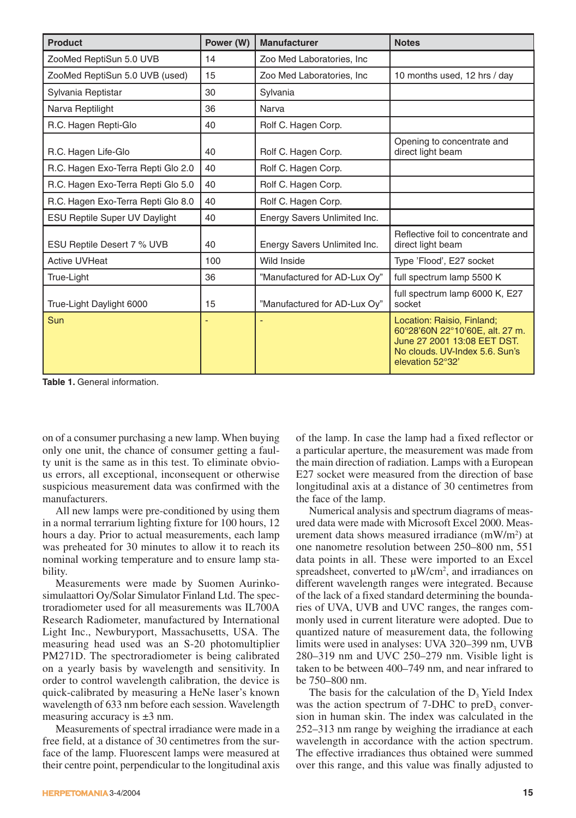| <b>Product</b>                       | Power (W) | <b>Manufacturer</b>          | <b>Notes</b>                                                                                                                                       |
|--------------------------------------|-----------|------------------------------|----------------------------------------------------------------------------------------------------------------------------------------------------|
| ZooMed ReptiSun 5.0 UVB              | 14        | Zoo Med Laboratories, Inc.   |                                                                                                                                                    |
| ZooMed ReptiSun 5.0 UVB (used)       | 15        | Zoo Med Laboratories, Inc.   | 10 months used, 12 hrs / day                                                                                                                       |
| Sylvania Reptistar                   | 30        | Sylvania                     |                                                                                                                                                    |
| Narva Reptilight                     | 36        | Narva                        |                                                                                                                                                    |
| R.C. Hagen Repti-Glo                 | 40        | Rolf C. Hagen Corp.          |                                                                                                                                                    |
| R.C. Hagen Life-Glo                  | 40        | Rolf C. Hagen Corp.          | Opening to concentrate and<br>direct light beam                                                                                                    |
| R.C. Hagen Exo-Terra Repti Glo 2.0   | 40        | Rolf C. Hagen Corp.          |                                                                                                                                                    |
| R.C. Hagen Exo-Terra Repti Glo 5.0   | 40        | Rolf C. Hagen Corp.          |                                                                                                                                                    |
| R.C. Hagen Exo-Terra Repti Glo 8.0   | 40        | Rolf C. Hagen Corp.          |                                                                                                                                                    |
| <b>ESU Reptile Super UV Daylight</b> | 40        | Energy Savers Unlimited Inc. |                                                                                                                                                    |
| ESU Reptile Desert 7 % UVB           | 40        | Energy Savers Unlimited Inc. | Reflective foil to concentrate and<br>direct light beam                                                                                            |
| <b>Active UVHeat</b>                 | 100       | Wild Inside                  | Type 'Flood', E27 socket                                                                                                                           |
| True-Light                           | 36        | "Manufactured for AD-Lux Oy" | full spectrum lamp 5500 K                                                                                                                          |
| True-Light Daylight 6000             | 15        | "Manufactured for AD-Lux Oy" | full spectrum lamp 6000 K, E27<br>socket                                                                                                           |
| Sun                                  |           |                              | Location: Raisio, Finland;<br>60°28'60N 22°10'60E, alt. 27 m.<br>June 27 2001 13:08 EET DST.<br>No clouds, UV-Index 5.6, Sun's<br>elevation 52°32' |

**Table 1.** General information.

on of a consumer purchasing a new lamp. When buying only one unit, the chance of consumer getting a faulty unit is the same as in this test. To eliminate obvious errors, all exceptional, inconsequent or otherwise suspicious measurement data was confirmed with the manufacturers.

All new lamps were pre-conditioned by using them in a normal terrarium lighting fixture for 100 hours, 12 hours a day. Prior to actual measurements, each lamp was preheated for 30 minutes to allow it to reach its nominal working temperature and to ensure lamp stability.

Measurements were made by Suomen Aurinkosimulaattori Oy/Solar Simulator Finland Ltd. The spectroradiometer used for all measurements was IL700A Research Radiometer, manufactured by International Light Inc., Newburyport, Massachusetts, USA. The measuring head used was an S-20 photomultiplier PM271D. The spectroradiometer is being calibrated on a yearly basis by wavelength and sensitivity. In order to control wavelength calibration, the device is quick-calibrated by measuring a HeNe laser's known wavelength of 633 nm before each session. Wavelength measuring accuracy is ±3 nm.

Measurements of spectral irradiance were made in a free field, at a distance of 30 centimetres from the surface of the lamp. Fluorescent lamps were measured at their centre point, perpendicular to the longitudinal axis

3-4/2004 **15**

of the lamp. In case the lamp had a fixed reflector or a particular aperture, the measurement was made from the main direction of radiation. Lamps with a European E27 socket were measured from the direction of base longitudinal axis at a distance of 30 centimetres from the face of the lamp.

Numerical analysis and spectrum diagrams of measured data were made with Microsoft Excel 2000. Measurement data shows measured irradiance (mW/m2 ) at one nanometre resolution between 250–800 nm, 551 data points in all. These were imported to an Excel spreadsheet, converted to  $\mu$ W/cm<sup>2</sup>, and irradiances on different wavelength ranges were integrated. Because of the lack of a fixed standard determining the boundaries of UVA, UVB and UVC ranges, the ranges commonly used in current literature were adopted. Due to quantized nature of measurement data, the following limits were used in analyses: UVA 320–399 nm, UVB 280–319 nm and UVC 250–279 nm. Visible light is taken to be between 400–749 nm, and near infrared to be 750–800 nm.

The basis for the calculation of the  $D<sub>3</sub>$  Yield Index was the action spectrum of  $7-DHC$  to pre $D_3$  conversion in human skin. The index was calculated in the 252–313 nm range by weighing the irradiance at each wavelength in accordance with the action spectrum. The effective irradiances thus obtained were summed over this range, and this value was finally adjusted to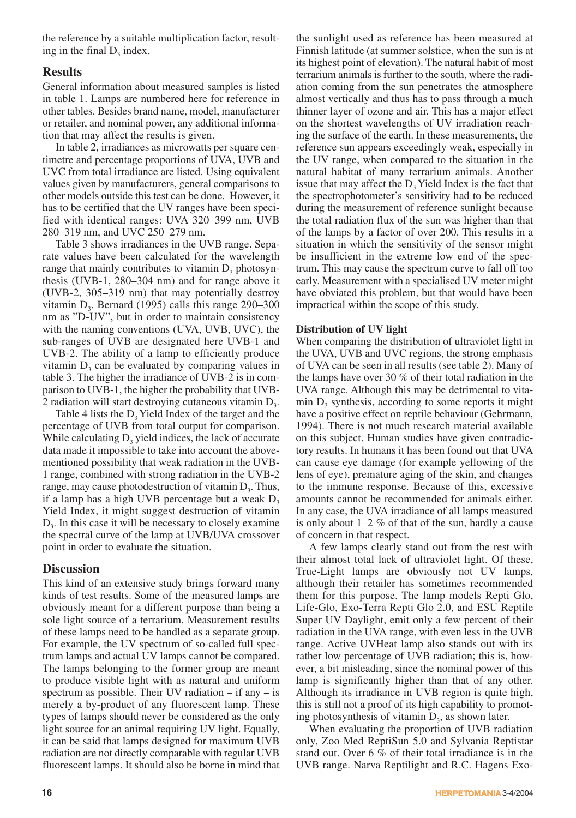the reference by a suitable multiplication factor, resulting in the final  $D_2$  index.

# **Results**

General information about measured samples is listed in table 1. Lamps are numbered here for reference in other tables. Besides brand name, model, manufacturer or retailer, and nominal power, any additional information that may affect the results is given.

In table 2, irradiances as microwatts per square centimetre and percentage proportions of UVA, UVB and UVC from total irradiance are listed. Using equivalent values given by manufacturers, general comparisons to other models outside this test can be done. However, it has to be certified that the UV ranges have been specified with identical ranges: UVA 320–399 nm, UVB 280–319 nm, and UVC 250–279 nm.

Table 3 shows irradiances in the UVB range. Separate values have been calculated for the wavelength range that mainly contributes to vitamin  $D_3$  photosynthesis (UVB-1, 280–304 nm) and for range above it (UVB-2, 305–319 nm) that may potentially destroy vitamin  $D_3$ . Bernard (1995) calls this range 290–300 nm as "D-UV", but in order to maintain consistency with the naming conventions (UVA, UVB, UVC), the sub-ranges of UVB are designated here UVB-1 and UVB-2. The ability of a lamp to efficiently produce vitamin  $D_3$  can be evaluated by comparing values in table 3. The higher the irradiance of UVB-2 is in comparison to UVB-1, the higher the probability that UVB-2 radiation will start destroying cutaneous vitamin  $D<sub>3</sub>$ .

Table 4 lists the  $D<sub>3</sub>$  Yield Index of the target and the percentage of UVB from total output for comparison. While calculating  $D_3$  yield indices, the lack of accurate data made it impossible to take into account the abovementioned possibility that weak radiation in the UVB-1 range, combined with strong radiation in the UVB-2 range, may cause photodestruction of vitamin  $D<sub>3</sub>$ . Thus, if a lamp has a high UVB percentage but a weak  $D<sub>3</sub>$ Yield Index, it might suggest destruction of vitamin  $D<sub>3</sub>$ . In this case it will be necessary to closely examine the spectral curve of the lamp at UVB/UVA crossover point in order to evaluate the situation.

# **Discussion**

This kind of an extensive study brings forward many kinds of test results. Some of the measured lamps are obviously meant for a different purpose than being a sole light source of a terrarium. Measurement results of these lamps need to be handled as a separate group. For example, the UV spectrum of so-called full spectrum lamps and actual UV lamps cannot be compared. The lamps belonging to the former group are meant to produce visible light with as natural and uniform spectrum as possible. Their UV radiation – if any – is merely a by-product of any fluorescent lamp. These types of lamps should never be considered as the only light source for an animal requiring UV light. Equally, it can be said that lamps designed for maximum UVB radiation are not directly comparable with regular UVB fluorescent lamps. It should also be borne in mind that

the sunlight used as reference has been measured at Finnish latitude (at summer solstice, when the sun is at its highest point of elevation). The natural habit of most terrarium animals is further to the south, where the radiation coming from the sun penetrates the atmosphere almost vertically and thus has to pass through a much thinner layer of ozone and air. This has a major effect on the shortest wavelengths of UV irradiation reaching the surface of the earth. In these measurements, the reference sun appears exceedingly weak, especially in the UV range, when compared to the situation in the natural habitat of many terrarium animals. Another issue that may affect the  $D<sub>3</sub>$  Yield Index is the fact that the spectrophotometer's sensitivity had to be reduced during the measurement of reference sunlight because the total radiation flux of the sun was higher than that of the lamps by a factor of over 200. This results in a situation in which the sensitivity of the sensor might be insufficient in the extreme low end of the spectrum. This may cause the spectrum curve to fall off too early. Measurement with a specialised UV meter might have obviated this problem, but that would have been impractical within the scope of this study.

## **Distribution of UV light**

When comparing the distribution of ultraviolet light in the UVA, UVB and UVC regions, the strong emphasis of UVA can be seen in all results (see table 2). Many of the lamps have over 30 % of their total radiation in the UVA range. Although this may be detrimental to vita- $\min D_3$  synthesis, according to some reports it might have a positive effect on reptile behaviour (Gehrmann, 1994). There is not much research material available on this subject. Human studies have given contradictory results. In humans it has been found out that UVA can cause eye damage (for example yellowing of the lens of eye), premature aging of the skin, and changes to the immune response. Because of this, excessive amounts cannot be recommended for animals either. In any case, the UVA irradiance of all lamps measured is only about 1–2 % of that of the sun, hardly a cause of concern in that respect.

A few lamps clearly stand out from the rest with their almost total lack of ultraviolet light. Of these, True-Light lamps are obviously not UV lamps, although their retailer has sometimes recommended them for this purpose. The lamp models Repti Glo, Life-Glo, Exo-Terra Repti Glo 2.0, and ESU Reptile Super UV Daylight, emit only a few percent of their radiation in the UVA range, with even less in the UVB range. Active UVHeat lamp also stands out with its rather low percentage of UVB radiation; this is, however, a bit misleading, since the nominal power of this lamp is significantly higher than that of any other. Although its irradiance in UVB region is quite high, this is still not a proof of its high capability to promoting photosynthesis of vitamin  $D<sub>3</sub>$ , as shown later.

When evaluating the proportion of UVB radiation only, Zoo Med ReptiSun 5.0 and Sylvania Reptistar stand out. Over 6 % of their total irradiance is in the UVB range. Narva Reptilight and R.C. Hagens Exo-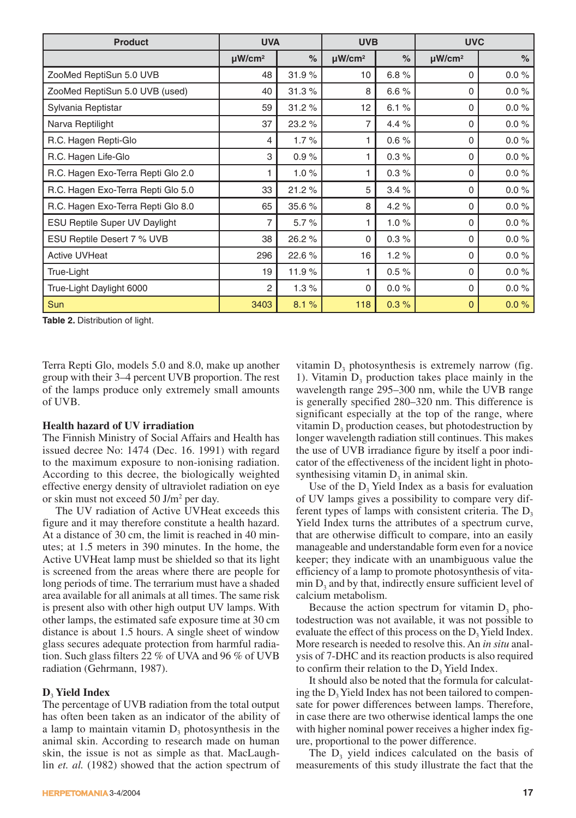| <b>Product</b>                       | <b>UVA</b>              |               | <b>UVB</b>              |      | <b>UVC</b>              |          |
|--------------------------------------|-------------------------|---------------|-------------------------|------|-------------------------|----------|
|                                      | $\mu$ W/cm <sup>2</sup> | $\frac{6}{6}$ | $\mu$ W/cm <sup>2</sup> | $\%$ | $\mu$ W/cm <sup>2</sup> | $\%$     |
| ZooMed ReptiSun 5.0 UVB              | 48                      | 31.9%         | 10                      | 6.8% | 0                       | $0.0 \%$ |
| ZooMed ReptiSun 5.0 UVB (used)       | 40                      | 31.3%         | 8                       | 6.6% | 0                       | $0.0 \%$ |
| Sylvania Reptistar                   | 59                      | 31.2%         | 12                      | 6.1% | 0                       | $0.0 \%$ |
| Narva Reptilight                     | 37                      | 23.2 %        | 7                       | 4.4% | $\Omega$                | $0.0 \%$ |
| R.C. Hagen Repti-Glo                 | 4                       | 1.7%          | 1                       | 0.6% | 0                       | $0.0 \%$ |
| R.C. Hagen Life-Glo                  | 3                       | 0.9%          | 1                       | 0.3% | 0                       | $0.0 \%$ |
| R.C. Hagen Exo-Terra Repti Glo 2.0   | 1                       | 1.0%          | 1                       | 0.3% | 0                       | $0.0 \%$ |
| R.C. Hagen Exo-Terra Repti Glo 5.0   | 33                      | 21.2%         | 5                       | 3.4% | $\Omega$                | $0.0 \%$ |
| R.C. Hagen Exo-Terra Repti Glo 8.0   | 65                      | 35.6 %        | 8                       | 4.2% | $\Omega$                | $0.0 \%$ |
| <b>ESU Reptile Super UV Daylight</b> | 7                       | 5.7%          | 1                       | 1.0% | 0                       | $0.0 \%$ |
| ESU Reptile Desert 7 % UVB           | 38                      | 26.2 %        | 0                       | 0.3% | 0                       | $0.0 \%$ |
| <b>Active UVHeat</b>                 | 296                     | 22.6%         | 16                      | 1.2% | $\Omega$                | $0.0 \%$ |
| True-Light                           | 19                      | 11.9%         | 1                       | 0.5% | $\Omega$                | $0.0 \%$ |
| True-Light Daylight 6000             | 2                       | 1.3%          | 0                       | 0.0% | $\Omega$                | $0.0 \%$ |
| <b>Sun</b>                           | 3403                    | 8.1%          | 118                     | 0.3% | $\mathbf{0}$            | $0.0 \%$ |

**Table 2.** Distribution of light.

Terra Repti Glo, models 5.0 and 8.0, make up another group with their 3–4 percent UVB proportion. The rest of the lamps produce only extremely small amounts of UVB.

#### **Health hazard of UV irradiation**

The Finnish Ministry of Social Affairs and Health has issued decree No: 1474 (Dec. 16. 1991) with regard to the maximum exposure to non-ionising radiation. According to this decree, the biologically weighted effective energy density of ultraviolet radiation on eye or skin must not exceed 50 J/m2 per day.

The UV radiation of Active UVHeat exceeds this figure and it may therefore constitute a health hazard. At a distance of 30 cm, the limit is reached in 40 minutes; at 1.5 meters in 390 minutes. In the home, the Active UVHeat lamp must be shielded so that its light is screened from the areas where there are people for long periods of time. The terrarium must have a shaded area available for all animals at all times. The same risk is present also with other high output UV lamps. With other lamps, the estimated safe exposure time at 30 cm distance is about 1.5 hours. A single sheet of window glass secures adequate protection from harmful radiation. Such glass filters 22 % of UVA and 96 % of UVB radiation (Gehrmann, 1987).

#### **D**<sup>3</sup> **Yield Index**

The percentage of UVB radiation from the total output has often been taken as an indicator of the ability of a lamp to maintain vitamin  $D_3$  photosynthesis in the animal skin. According to research made on human skin, the issue is not as simple as that. MacLaughlin *et. al.* (1982) showed that the action spectrum of

vitamin  $D_3$  photosynthesis is extremely narrow (fig. 1). Vitamin  $D_3$  production takes place mainly in the wavelength range 295–300 nm, while the UVB range is generally specified 280–320 nm. This difference is significant especially at the top of the range, where vitamin  $D_3$  production ceases, but photodestruction by longer wavelength radiation still continues. This makes the use of UVB irradiance figure by itself a poor indicator of the effectiveness of the incident light in photosynthesising vitamin  $D_3$  in animal skin.

Use of the  $D<sub>3</sub>$  Yield Index as a basis for evaluation of UV lamps gives a possibility to compare very different types of lamps with consistent criteria. The  $D<sub>3</sub>$ Yield Index turns the attributes of a spectrum curve, that are otherwise difficult to compare, into an easily manageable and understandable form even for a novice keeper; they indicate with an unambiguous value the efficiency of a lamp to promote photosynthesis of vita- $\min D_3$  and by that, indirectly ensure sufficient level of calcium metabolism.

Because the action spectrum for vitamin  $D_3$  photodestruction was not available, it was not possible to evaluate the effect of this process on the  $D<sub>3</sub>$  Yield Index. More research is needed to resolve this. An *in situ* analysis of 7-DHC and its reaction products is also required to confirm their relation to the  $D<sub>3</sub>$  Yield Index.

It should also be noted that the formula for calculating the  $D<sub>3</sub>$  Yield Index has not been tailored to compensate for power differences between lamps. Therefore, in case there are two otherwise identical lamps the one with higher nominal power receives a higher index figure, proportional to the power difference.

The  $D<sub>3</sub>$  yield indices calculated on the basis of measurements of this study illustrate the fact that the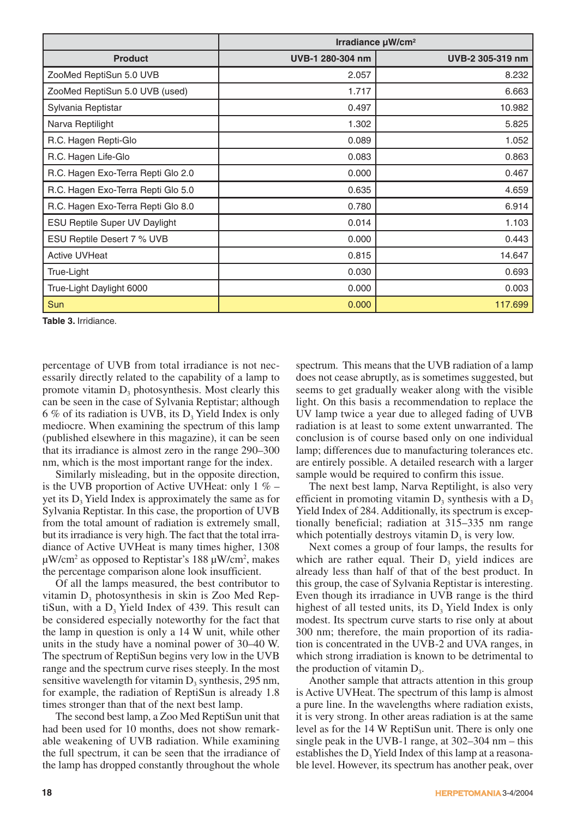|                                      | Irradiance $\mu$ W/cm <sup>2</sup> |                  |  |
|--------------------------------------|------------------------------------|------------------|--|
| <b>Product</b>                       | UVB-1 280-304 nm                   | UVB-2 305-319 nm |  |
| ZooMed ReptiSun 5.0 UVB              | 2.057                              | 8.232            |  |
| ZooMed ReptiSun 5.0 UVB (used)       | 1.717                              | 6.663            |  |
| Sylvania Reptistar                   | 0.497                              | 10.982           |  |
| Narva Reptilight                     | 1.302                              | 5.825            |  |
| R.C. Hagen Repti-Glo                 | 0.089                              | 1.052            |  |
| R.C. Hagen Life-Glo                  | 0.083                              | 0.863            |  |
| R.C. Hagen Exo-Terra Repti Glo 2.0   | 0.000                              | 0.467            |  |
| R.C. Hagen Exo-Terra Repti Glo 5.0   | 0.635                              | 4.659            |  |
| R.C. Hagen Exo-Terra Repti Glo 8.0   | 0.780                              | 6.914            |  |
| <b>ESU Reptile Super UV Daylight</b> | 0.014                              | 1.103            |  |
| ESU Reptile Desert 7 % UVB           | 0.000                              | 0.443            |  |
| <b>Active UVHeat</b>                 | 0.815                              | 14.647           |  |
| True-Light                           | 0.030                              | 0.693            |  |
| True-Light Daylight 6000             | 0.000                              | 0.003            |  |
| Sun                                  | 0.000                              | 117.699          |  |

**Table 3.** Irridiance.

percentage of UVB from total irradiance is not necessarily directly related to the capability of a lamp to promote vitamin  $D_3$  photosynthesis. Most clearly this can be seen in the case of Sylvania Reptistar; although 6 % of its radiation is UVB, its  $D_3$  Yield Index is only mediocre. When examining the spectrum of this lamp (published elsewhere in this magazine), it can be seen that its irradiance is almost zero in the range 290–300 nm, which is the most important range for the index.

Similarly misleading, but in the opposite direction, is the UVB proportion of Active UVHeat: only  $1\%$  – yet its  $D<sub>3</sub>$  Yield Index is approximately the same as for Sylvania Reptistar. In this case, the proportion of UVB from the total amount of radiation is extremely small, but its irradiance is very high. The fact that the total irradiance of Active UVHeat is many times higher, 1308  $\mu$ W/cm<sup>2</sup> as opposed to Reptistar's 188  $\mu$ W/cm<sup>2</sup>, makes the percentage comparison alone look insufficient.

Of all the lamps measured, the best contributor to vitamin  $D_3$  photosynthesis in skin is Zoo Med ReptiSun, with a  $D<sub>3</sub>$  Yield Index of 439. This result can be considered especially noteworthy for the fact that the lamp in question is only a 14 W unit, while other units in the study have a nominal power of 30–40 W. The spectrum of ReptiSun begins very low in the UVB range and the spectrum curve rises steeply. In the most sensitive wavelength for vitamin  $D_3$  synthesis, 295 nm, for example, the radiation of ReptiSun is already 1.8 times stronger than that of the next best lamp.

The second best lamp, a Zoo Med ReptiSun unit that had been used for 10 months, does not show remarkable weakening of UVB radiation. While examining the full spectrum, it can be seen that the irradiance of the lamp has dropped constantly throughout the whole spectrum. This means that the UVB radiation of a lamp does not cease abruptly, as is sometimes suggested, but seems to get gradually weaker along with the visible light. On this basis a recommendation to replace the UV lamp twice a year due to alleged fading of UVB radiation is at least to some extent unwarranted. The conclusion is of course based only on one individual lamp; differences due to manufacturing tolerances etc. are entirely possible. A detailed research with a larger sample would be required to confirm this issue.

The next best lamp, Narva Reptilight, is also very efficient in promoting vitamin  $D_3$  synthesis with a  $D_3$ Yield Index of 284. Additionally, its spectrum is exceptionally beneficial; radiation at 315–335 nm range which potentially destroys vitamin  $D_3$  is very low.

Next comes a group of four lamps, the results for which are rather equal. Their  $D<sub>3</sub>$  yield indices are already less than half of that of the best product. In this group, the case of Sylvania Reptistar is interesting. Even though its irradiance in UVB range is the third highest of all tested units, its  $D<sub>3</sub>$  Yield Index is only modest. Its spectrum curve starts to rise only at about 300 nm; therefore, the main proportion of its radiation is concentrated in the UVB-2 and UVA ranges, in which strong irradiation is known to be detrimental to the production of vitamin  $D<sub>3</sub>$ .

Another sample that attracts attention in this group is Active UVHeat. The spectrum of this lamp is almost a pure line. In the wavelengths where radiation exists, it is very strong. In other areas radiation is at the same level as for the 14 W ReptiSun unit. There is only one single peak in the UVB-1 range, at 302–304 nm – this establishes the  $D<sub>3</sub>$  Yield Index of this lamp at a reasonable level. However, its spectrum has another peak, over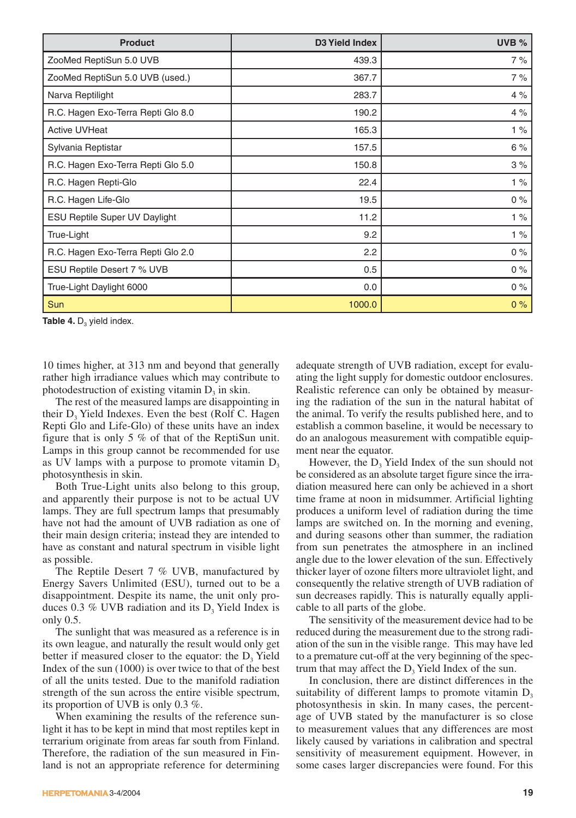| <b>Product</b>                       | D3 Yield Index | UVB % |
|--------------------------------------|----------------|-------|
| ZooMed ReptiSun 5.0 UVB              | 439.3          | 7%    |
| ZooMed ReptiSun 5.0 UVB (used.)      | 367.7          | 7%    |
| Narva Reptilight                     | 283.7          | 4%    |
| R.C. Hagen Exo-Terra Repti Glo 8.0   | 190.2          | 4%    |
| <b>Active UVHeat</b>                 | 165.3          | 1%    |
| Sylvania Reptistar                   | 157.5          | 6%    |
| R.C. Hagen Exo-Terra Repti Glo 5.0   | 150.8          | 3%    |
| R.C. Hagen Repti-Glo                 | 22.4           | 1%    |
| R.C. Hagen Life-Glo                  | 19.5           | $0\%$ |
| <b>ESU Reptile Super UV Daylight</b> | 11.2           | 1%    |
| True-Light                           | 9.2            | 1%    |
| R.C. Hagen Exo-Terra Repti Glo 2.0   | 2.2            | $0\%$ |
| ESU Reptile Desert 7 % UVB           | 0.5            | $0\%$ |
| True-Light Daylight 6000             | 0.0            | $0\%$ |
| Sun                                  | 1000.0         | 0%    |

Table 4. D<sub>3</sub> yield index.

10 times higher, at 313 nm and beyond that generally rather high irradiance values which may contribute to photodestruction of existing vitamin  $D_3$  in skin.

The rest of the measured lamps are disappointing in their  $D<sub>3</sub>$  Yield Indexes. Even the best (Rolf C. Hagen Repti Glo and Life-Glo) of these units have an index figure that is only 5 % of that of the ReptiSun unit. Lamps in this group cannot be recommended for use as UV lamps with a purpose to promote vitamin  $D<sub>3</sub>$ photosynthesis in skin.

Both True-Light units also belong to this group, and apparently their purpose is not to be actual UV lamps. They are full spectrum lamps that presumably have not had the amount of UVB radiation as one of their main design criteria; instead they are intended to have as constant and natural spectrum in visible light as possible.

The Reptile Desert 7 % UVB, manufactured by Energy Savers Unlimited (ESU), turned out to be a disappointment. Despite its name, the unit only produces 0.3 % UVB radiation and its  $D_3$  Yield Index is only 0.5.

The sunlight that was measured as a reference is in its own league, and naturally the result would only get better if measured closer to the equator: the  $D<sub>3</sub>$  Yield Index of the sun (1000) is over twice to that of the best of all the units tested. Due to the manifold radiation strength of the sun across the entire visible spectrum, its proportion of UVB is only 0.3 %.

When examining the results of the reference sunlight it has to be kept in mind that most reptiles kept in terrarium originate from areas far south from Finland. Therefore, the radiation of the sun measured in Finland is not an appropriate reference for determining adequate strength of UVB radiation, except for evaluating the light supply for domestic outdoor enclosures. Realistic reference can only be obtained by measuring the radiation of the sun in the natural habitat of the animal. To verify the results published here, and to establish a common baseline, it would be necessary to do an analogous measurement with compatible equipment near the equator.

However, the  $D<sub>3</sub>$  Yield Index of the sun should not be considered as an absolute target figure since the irradiation measured here can only be achieved in a short time frame at noon in midsummer. Artificial lighting produces a uniform level of radiation during the time lamps are switched on. In the morning and evening, and during seasons other than summer, the radiation from sun penetrates the atmosphere in an inclined angle due to the lower elevation of the sun. Effectively thicker layer of ozone filters more ultraviolet light, and consequently the relative strength of UVB radiation of sun decreases rapidly. This is naturally equally applicable to all parts of the globe.

The sensitivity of the measurement device had to be reduced during the measurement due to the strong radiation of the sun in the visible range. This may have led to a premature cut-off at the very beginning of the spectrum that may affect the  $D<sub>3</sub>$  Yield Index of the sun.

In conclusion, there are distinct differences in the suitability of different lamps to promote vitamin  $D<sub>3</sub>$ photosynthesis in skin. In many cases, the percentage of UVB stated by the manufacturer is so close to measurement values that any differences are most likely caused by variations in calibration and spectral sensitivity of measurement equipment. However, in some cases larger discrepancies were found. For this